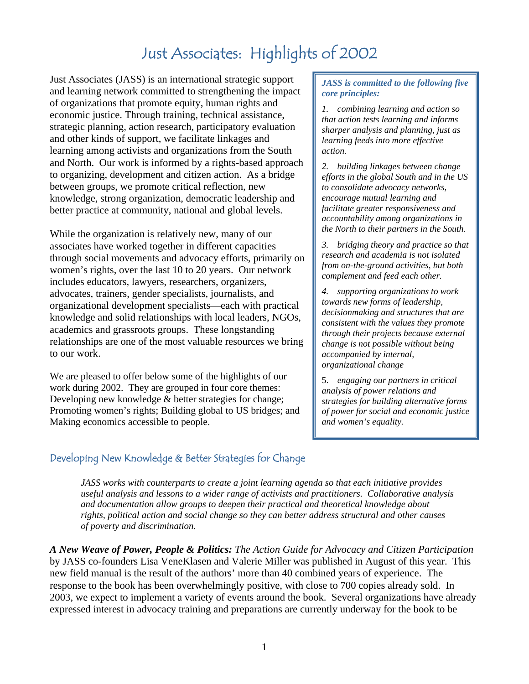# Just Associates: Highlights of 2002

Just Associates (JASS) is an international strategic support and learning network committed to strengthening the impact of organizations that promote equity, human rights and economic justice. Through training, technical assistance, strategic planning, action research, participatory evaluation and other kinds of support, we facilitate linkages and learning among activists and organizations from the South and North. Our work is informed by a rights-based approach to organizing, development and citizen action. As a bridge between groups, we promote critical reflection, new knowledge, strong organization, democratic leadership and better practice at community, national and global levels.

While the organization is relatively new, many of our associates have worked together in different capacities through social movements and advocacy efforts, primarily on women's rights, over the last 10 to 20 years. Our network includes educators, lawyers, researchers, organizers, advocates, trainers, gender specialists, journalists, and organizational development specialists—each with practical knowledge and solid relationships with local leaders, NGOs, academics and grassroots groups. These longstanding relationships are one of the most valuable resources we bring to our work.

We are pleased to offer below some of the highlights of our work during 2002. They are grouped in four core themes: Developing new knowledge & better strategies for change; Promoting women's rights; Building global to US bridges; and Making economics accessible to people.

#### *JASS is committed to the following five core principles:*

*1. combining learning and action so that action tests learning and informs sharper analysis and planning, just as learning feeds into more effective action.* 

*2. building linkages between change efforts in the global South and in the US to consolidate advocacy networks, encourage mutual learning and facilitate greater responsiveness and accountability among organizations in the North to their partners in the South.* 

*3. bridging theory and practice so that research and academia is not isolated from on-the-ground activities, but both complement and feed each other.* 

*4. supporting organizations to work towards new forms of leadership, decisionmaking and structures that are consistent with the values they promote through their projects because external change is not possible without being accompanied by internal, organizational change* 

5. *engaging our partners in critical analysis of power relations and strategies for building alternative forms of power for social and economic justice and women's equality.*

# Developing New Knowledge & Better Strategies for Change

*JASS works with counterparts to create a joint learning agenda so that each initiative provides useful analysis and lessons to a wider range of activists and practitioners. Collaborative analysis and documentation allow groups to deepen their practical and theoretical knowledge about rights, political action and social change so they can better address structural and other causes of poverty and discrimination.*

*A New Weave of Power, People & Politics: The Action Guide for Advocacy and Citizen Participation* by JASS co-founders Lisa VeneKlasen and Valerie Miller was published in August of this year. This new field manual is the result of the authors' more than 40 combined years of experience. The response to the book has been overwhelmingly positive, with close to 700 copies already sold. In 2003, we expect to implement a variety of events around the book. Several organizations have already expressed interest in advocacy training and preparations are currently underway for the book to be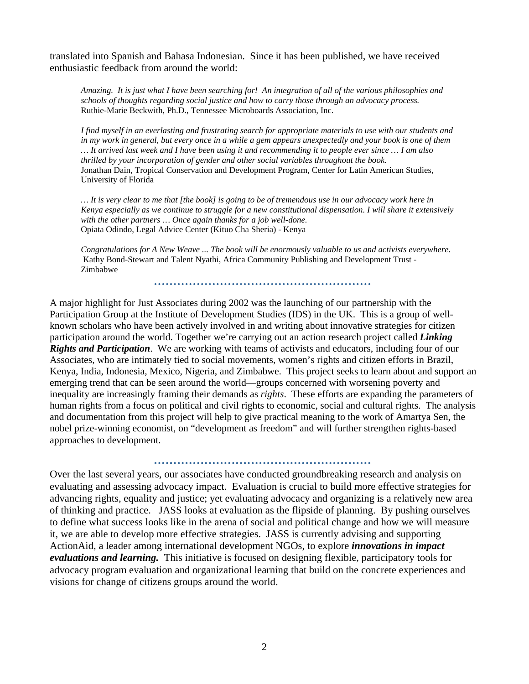translated into Spanish and Bahasa Indonesian. Since it has been published, we have received enthusiastic feedback from around the world:

*Amazing. It is just what I have been searching for! An integration of all of the various philosophies and schools of thoughts regarding social justice and how to carry those through an advocacy process.*  Ruthie-Marie Beckwith, Ph.D., Tennessee Microboards Association, Inc.

*I find myself in an everlasting and frustrating search for appropriate materials to use with our students and in my work in general, but every once in a while a gem appears unexpectedly and your book is one of them … It arrived last week and I have been using it and recommending it to people ever since … I am also thrilled by your incorporation of gender and other social variables throughout the book.*  Jonathan Dain, Tropical Conservation and Development Program, Center for Latin American Studies, University of Florida

*… It is very clear to me that [the book] is going to be of tremendous use in our advocacy work here in Kenya especially as we continue to struggle for a new constitutional dispensation. I will share it extensively with the other partners … Once again thanks for a job well-done.*  Opiata Odindo, Legal Advice Center (Kituo Cha Sheria) - Kenya

*Congratulations for A New Weave ... The book will be enormously valuable to us and activists everywhere.*  Kathy Bond-Stewart and Talent Nyathi, Africa Community Publishing and Development Trust - Zimbabwe

A major highlight for Just Associates during 2002 was the launching of our partnership with the Participation Group at the Institute of Development Studies (IDS) in the UK. This is a group of wellknown scholars who have been actively involved in and writing about innovative strategies for citizen participation around the world. Together we're carrying out an action research project called *Linking Rights and Participation*. We are working with teams of activists and educators, including four of our Associates, who are intimately tied to social movements, women's rights and citizen efforts in Brazil, Kenya, India, Indonesia, Mexico, Nigeria, and Zimbabwe. This project seeks to learn about and support an emerging trend that can be seen around the world—groups concerned with worsening poverty and inequality are increasingly framing their demands as *rights*. These efforts are expanding the parameters of human rights from a focus on political and civil rights to economic, social and cultural rights. The analysis and documentation from this project will help to give practical meaning to the work of Amartya Sen, the nobel prize-winning economist, on "development as freedom" and will further strengthen rights-based approaches to development.

Over the last several years, our associates have conducted groundbreaking research and analysis on evaluating and assessing advocacy impact. Evaluation is crucial to build more effective strategies for advancing rights, equality and justice; yet evaluating advocacy and organizing is a relatively new area of thinking and practice. JASS looks at evaluation as the flipside of planning. By pushing ourselves to define what success looks like in the arena of social and political change and how we will measure it, we are able to develop more effective strategies. JASS is currently advising and supporting ActionAid, a leader among international development NGOs, to explore *innovations in impact evaluations and learning.* This initiative is focused on designing flexible, participatory tools for advocacy program evaluation and organizational learning that build on the concrete experiences and visions for change of citizens groups around the world.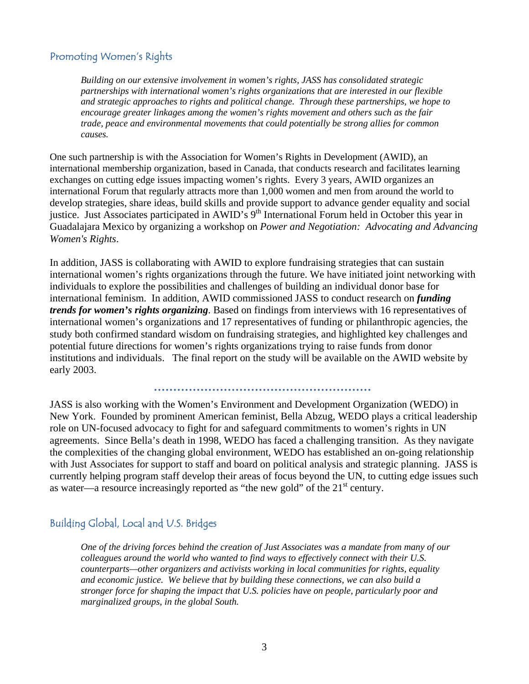## Promoting Women's Rights

*Building on our extensive involvement in women's rights, JASS has consolidated strategic partnerships with international women's rights organizations that are interested in our flexible and strategic approaches to rights and political change. Through these partnerships, we hope to encourage greater linkages among the women's rights movement and others such as the fair trade, peace and environmental movements that could potentially be strong allies for common causes.*

One such partnership is with the Association for Women's Rights in Development (AWID), an international membership organization, based in Canada, that conducts research and facilitates learning exchanges on cutting edge issues impacting women's rights. Every 3 years, AWID organizes an international Forum that regularly attracts more than 1,000 women and men from around the world to develop strategies, share ideas, build skills and provide support to advance gender equality and social justice. Just Associates participated in AWID's 9<sup>th</sup> International Forum held in October this year in Guadalajara Mexico by organizing a workshop on *Power and Negotiation: Advocating and Advancing Women's Rights*.

In addition, JASS is collaborating with AWID to explore fundraising strategies that can sustain international women's rights organizations through the future. We have initiated joint networking with individuals to explore the possibilities and challenges of building an individual donor base for international feminism. In addition, AWID commissioned JASS to conduct research on *funding trends for women's rights organizing*. Based on findings from interviews with 16 representatives of international women's organizations and 17 representatives of funding or philanthropic agencies, the study both confirmed standard wisdom on fundraising strategies, and highlighted key challenges and potential future directions for women's rights organizations trying to raise funds from donor institutions and individuals. The final report on the study will be available on the AWID website by early 2003.

JASS is also working with the Women's Environment and Development Organization (WEDO) in New York. Founded by prominent American feminist, Bella Abzug, WEDO plays a critical leadership role on UN-focused advocacy to fight for and safeguard commitments to women's rights in UN agreements. Since Bella's death in 1998, WEDO has faced a challenging transition. As they navigate the complexities of the changing global environment, WEDO has established an on-going relationship with Just Associates for support to staff and board on political analysis and strategic planning. JASS is currently helping program staff develop their areas of focus beyond the UN, to cutting edge issues such as water—a resource increasingly reported as "the new gold" of the  $21<sup>st</sup>$  century.

## Building Global, Local and U.S. Bridges

*One of the driving forces behind the creation of Just Associates was a mandate from many of our colleagues around the world who wanted to find ways to effectively connect with their U.S. counterparts—other organizers and activists working in local communities for rights, equality and economic justice. We believe that by building these connections, we can also build a stronger force for shaping the impact that U.S. policies have on people, particularly poor and marginalized groups, in the global South.*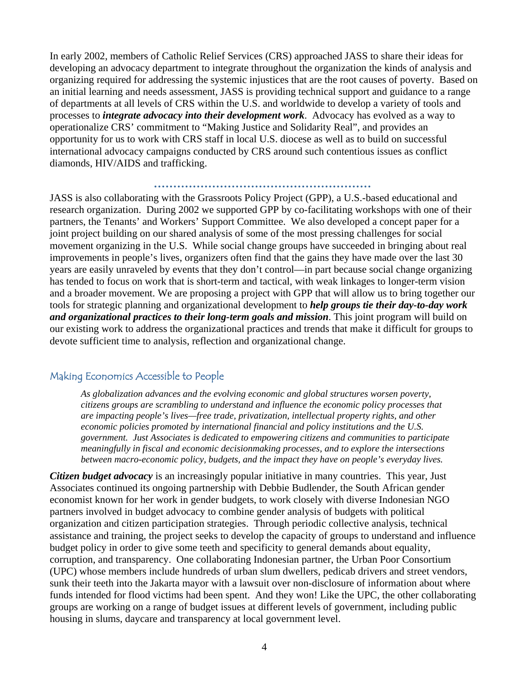In early 2002, members of Catholic Relief Services (CRS) approached JASS to share their ideas for developing an advocacy department to integrate throughout the organization the kinds of analysis and organizing required for addressing the systemic injustices that are the root causes of poverty. Based on an initial learning and needs assessment, JASS is providing technical support and guidance to a range of departments at all levels of CRS within the U.S. and worldwide to develop a variety of tools and processes to *integrate advocacy into their development work*. Advocacy has evolved as a way to operationalize CRS' commitment to "Making Justice and Solidarity Real", and provides an opportunity for us to work with CRS staff in local U.S. diocese as well as to build on successful international advocacy campaigns conducted by CRS around such contentious issues as conflict diamonds, HIV/AIDS and trafficking.

#### 

JASS is also collaborating with the Grassroots Policy Project (GPP), a U.S.-based educational and research organization. During 2002 we supported GPP by co-facilitating workshops with one of their partners, the Tenants' and Workers' Support Committee. We also developed a concept paper for a joint project building on our shared analysis of some of the most pressing challenges for social movement organizing in the U.S. While social change groups have succeeded in bringing about real improvements in people's lives, organizers often find that the gains they have made over the last 30 years are easily unraveled by events that they don't control—in part because social change organizing has tended to focus on work that is short-term and tactical, with weak linkages to longer-term vision and a broader movement. We are proposing a project with GPP that will allow us to bring together our tools for strategic planning and organizational development to *help groups tie their day-to-day work and organizational practices to their long-term goals and mission*. This joint program will build on our existing work to address the organizational practices and trends that make it difficult for groups to devote sufficient time to analysis, reflection and organizational change.

## Making Economics Accessible to People

*As globalization advances and the evolving economic and global structures worsen poverty, citizens groups are scrambling to understand and influence the economic policy processes that are impacting people's lives—free trade, privatization, intellectual property rights, and other economic policies promoted by international financial and policy institutions and the U.S. government. Just Associates is dedicated to empowering citizens and communities to participate meaningfully in fiscal and economic decisionmaking processes, and to explore the intersections between macro-economic policy, budgets, and the impact they have on people's everyday lives.* 

*Citizen budget advocacy* is an increasingly popular initiative in many countries. This year, Just Associates continued its ongoing partnership with Debbie Budlender, the South African gender economist known for her work in gender budgets, to work closely with diverse Indonesian NGO partners involved in budget advocacy to combine gender analysis of budgets with political organization and citizen participation strategies. Through periodic collective analysis, technical assistance and training, the project seeks to develop the capacity of groups to understand and influence budget policy in order to give some teeth and specificity to general demands about equality, corruption, and transparency. One collaborating Indonesian partner, the Urban Poor Consortium (UPC) whose members include hundreds of urban slum dwellers, pedicab drivers and street vendors, sunk their teeth into the Jakarta mayor with a lawsuit over non-disclosure of information about where funds intended for flood victims had been spent. And they won! Like the UPC, the other collaborating groups are working on a range of budget issues at different levels of government, including public housing in slums, daycare and transparency at local government level.